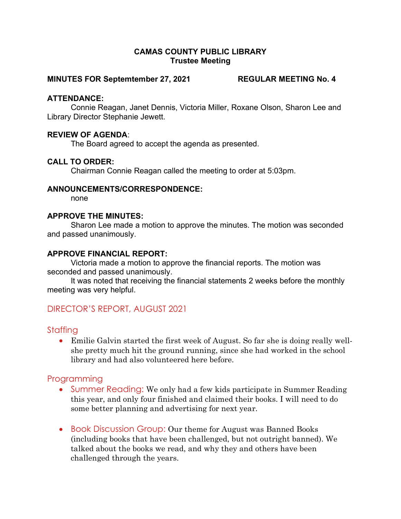## CAMAS COUNTY PUBLIC LIBRARY Trustee Meeting

#### MINUTES FOR Septemtember 27, 2021 REGULAR MEETING No. 4

## ATTENDANCE:

Connie Reagan, Janet Dennis, Victoria Miller, Roxane Olson, Sharon Lee and Library Director Stephanie Jewett.

## REVIEW OF AGENDA:

The Board agreed to accept the agenda as presented.

## CALL TO ORDER:

Chairman Connie Reagan called the meeting to order at 5:03pm.

#### ANNOUNCEMENTS/CORRESPONDENCE:

none

#### APPROVE THE MINUTES:

Sharon Lee made a motion to approve the minutes. The motion was seconded and passed unanimously.

## APPROVE FINANCIAL REPORT:

Victoria made a motion to approve the financial reports. The motion was seconded and passed unanimously.

It was noted that receiving the financial statements 2 weeks before the monthly meeting was very helpful.

# DIRECTOR'S REPORT, AUGUST 2021

## Staffing

 Emilie Galvin started the first week of August. So far she is doing really wellshe pretty much hit the ground running, since she had worked in the school library and had also volunteered here before.

# Programming

- Summer Reading: We only had a few kids participate in Summer Reading this year, and only four finished and claimed their books. I will need to do some better planning and advertising for next year.
- Book Discussion Group: Our theme for August was Banned Books (including books that have been challenged, but not outright banned). We talked about the books we read, and why they and others have been challenged through the years.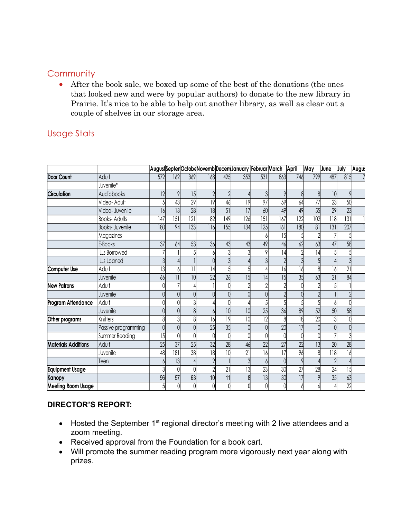## **Community**

# Usage Stats

| Community                  |                                                                                                                                                                                                                                                                                             |     |     |                  |                |     |                                                   |                  |                  |       |                 |                  |                  |       |
|----------------------------|---------------------------------------------------------------------------------------------------------------------------------------------------------------------------------------------------------------------------------------------------------------------------------------------|-----|-----|------------------|----------------|-----|---------------------------------------------------|------------------|------------------|-------|-----------------|------------------|------------------|-------|
|                            |                                                                                                                                                                                                                                                                                             |     |     |                  |                |     |                                                   |                  |                  |       |                 |                  |                  |       |
| $\bullet$                  | After the book sale, we boxed up some of the best of the donations (the ones<br>that looked new and were by popular authors) to donate to the new library in<br>Prairie. It's nice to be able to help out another library, as well as clear out a<br>couple of shelves in our storage area. |     |     |                  |                |     |                                                   |                  |                  |       |                 |                  |                  |       |
| <b>Usage Stats</b>         |                                                                                                                                                                                                                                                                                             |     |     |                  |                |     |                                                   |                  |                  |       |                 |                  |                  |       |
|                            |                                                                                                                                                                                                                                                                                             |     |     |                  |                |     |                                                   |                  |                  |       |                 |                  |                  |       |
|                            |                                                                                                                                                                                                                                                                                             |     |     |                  |                |     |                                                   |                  |                  |       |                 |                  |                  |       |
|                            |                                                                                                                                                                                                                                                                                             |     |     |                  |                |     |                                                   |                  |                  |       |                 |                  |                  |       |
|                            |                                                                                                                                                                                                                                                                                             |     |     |                  |                |     | AugustSeptenOctobeNovembDecemJanuary FebruarMarch |                  |                  | April | May             | June             | July             | Augu: |
| Door Count                 | Adult                                                                                                                                                                                                                                                                                       | 572 | 162 | 369              | 168            | 425 | 353                                               | 531              | 863              | 746   | 799             | 487              | 815              |       |
|                            | Juvenile*                                                                                                                                                                                                                                                                                   |     |     |                  |                |     |                                                   |                  |                  |       |                 |                  |                  |       |
| <b>Circulation</b>         | Audiobooks                                                                                                                                                                                                                                                                                  | 12  |     | 15               |                |     |                                                   |                  |                  |       |                 | 10               | $\overline{Q}$   |       |
|                            | Video-Adult                                                                                                                                                                                                                                                                                 |     | 43  | 29               | 9              | 46  | 19                                                | 97               | 59               | 64    | 77              | 23               | 50               |       |
|                            | Video- Juvenile                                                                                                                                                                                                                                                                             | 16  | 13  | 28               | 8              | 51  | 17                                                | 60               | 49               | 49    | 55              | 29               | 23               |       |
|                            | <b>Books-Adults</b>                                                                                                                                                                                                                                                                         | 147 | 151 | $\overline{121}$ | 82             | 149 | 126                                               | $\overline{151}$ | $\overline{167}$ | 122   | 02              | $\overline{118}$ | $\overline{131}$ |       |
|                            | Books- Juvenile                                                                                                                                                                                                                                                                             | 180 | 94  | 133              | 116            | 155 | 134                                               | 125              | 161<br>15        | 180   | $81\,$          | 131              | 207              |       |
|                            | Magazines<br>E-Books                                                                                                                                                                                                                                                                        | 37  | 64  | 53               | 36             | 43  | 43                                                | 49               | 46               | 62    | 63              | 47               | 58               |       |
|                            | <b>ILLs Borrowed</b>                                                                                                                                                                                                                                                                        |     |     |                  |                |     |                                                   |                  | 14               |       | 4               |                  |                  |       |
|                            | <b>ILLs Loaned</b>                                                                                                                                                                                                                                                                          |     |     |                  |                |     |                                                   |                  |                  |       |                 |                  |                  |       |
| Computer Use               | Adult                                                                                                                                                                                                                                                                                       | 13  |     |                  | 4              |     |                                                   |                  | 16               |       |                 | 16               | 21               |       |
|                            | Juvenile                                                                                                                                                                                                                                                                                    | 66  |     | 10 <sup>1</sup>  | 22             | 26  | 15 <sup>1</sup>                                   | 4                | 15               | 35    | 63              | 21               | 84               |       |
| <b>New Patrons</b>         | Adult                                                                                                                                                                                                                                                                                       |     |     |                  |                |     |                                                   |                  |                  |       |                 |                  |                  |       |
|                            | Juvenile                                                                                                                                                                                                                                                                                    |     |     |                  |                |     |                                                   |                  |                  |       |                 |                  |                  |       |
| Program Attendance         | Adult                                                                                                                                                                                                                                                                                       |     |     |                  |                |     |                                                   |                  | $\mathbf{5}$     | 5     | $\overline{5}$  |                  |                  |       |
|                            | Juvenile                                                                                                                                                                                                                                                                                    |     |     |                  |                | 10  | 10                                                | 25               | 36               | 89    | 52              | 50               | 58               |       |
| Other programs             | Knitters                                                                                                                                                                                                                                                                                    |     |     |                  | 16             | 9   |                                                   | $\overline{12}$  |                  | 18    | $\overline{20}$ | 13               | 10               |       |
|                            | Passive programming                                                                                                                                                                                                                                                                         |     |     |                  | 25             | 35  |                                                   |                  | 20               |       |                 |                  |                  |       |
|                            | Summer Reading                                                                                                                                                                                                                                                                              | 15  |     |                  |                |     |                                                   |                  |                  |       |                 |                  |                  |       |
| <b>Materials Additions</b> | Adult                                                                                                                                                                                                                                                                                       | 25  | 37  | 25               | 32             | 28  | 46                                                | 22               | 27               | 22    | 3               | 20               | 28               |       |
|                            | Juvenile                                                                                                                                                                                                                                                                                    | 48  | 181 | 38               | 18             | 10  | 21                                                | 16               | 17               | 96    |                 | 118              | 16               |       |
|                            | Teen                                                                                                                                                                                                                                                                                        |     | 3   |                  | $\overline{2}$ |     |                                                   |                  |                  |       |                 |                  |                  |       |
| <b>Equipment Usage</b>     |                                                                                                                                                                                                                                                                                             |     |     |                  | $\mathfrak{D}$ | 21  | 13                                                | 23               | 30               | 27    | 28              | 24               | 15               |       |
| Kanopy                     |                                                                                                                                                                                                                                                                                             | 96  | 57  | 63               | 10             | 11  |                                                   | 3                | 30               |       |                 | 35               | 63               |       |
| <b>Meeting Room Usage</b>  |                                                                                                                                                                                                                                                                                             | 5   |     |                  | $\Omega$       |     |                                                   |                  | $\cap$           |       |                 |                  | 22               |       |

## DIRECTOR'S REPORT:

- Hosted the September  $1<sup>st</sup>$  regional director's meeting with 2 live attendees and a zoom meeting.
- Received approval from the Foundation for a book cart.
- Will promote the summer reading program more vigorously next year along with prizes.